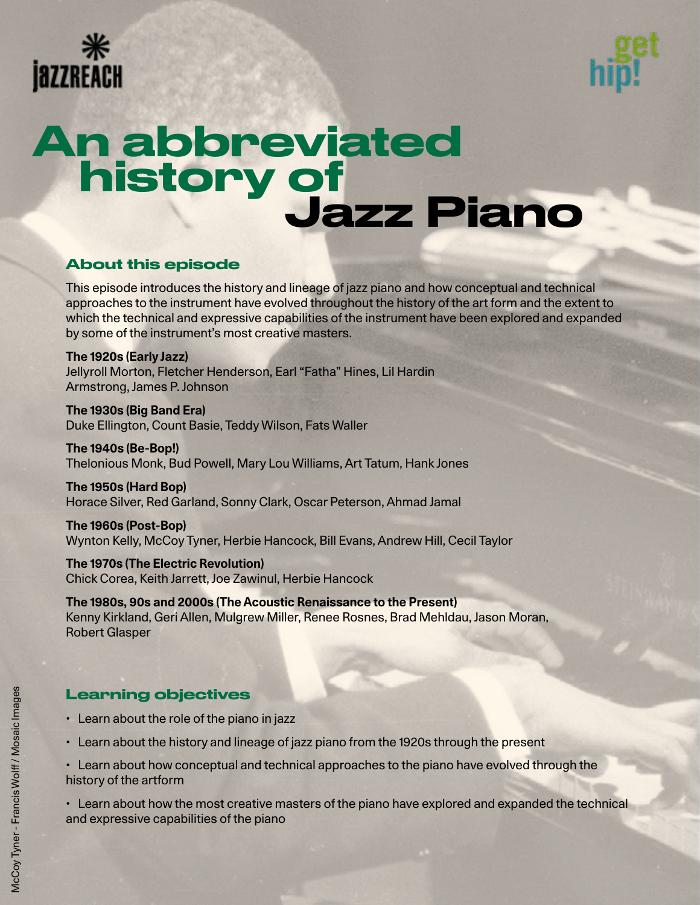



# Jazz Piano An abbreviated history of

# About this episode

This episode introduces the history and lineage of jazz piano and how conceptual and technical approaches to the instrument have evolved throughout the history of the art form and the extent to which the technical and expressive capabilities of the instrument have been explored and expanded by some of the instrument's most creative masters.

**The 1920s (Early Jazz)** Jellyroll Morton, Fletcher Henderson, Earl "Fatha" Hines, Lil Hardin Armstrong, James P. Johnson

**The 1930s (Big Band Era)** Duke Ellington, Count Basie, Teddy Wilson, Fats Waller

**The 1940s (Be-Bop!)** Thelonious Monk, Bud Powell, Mary Lou Williams, Art Tatum, Hank Jones

**The 1950s (Hard Bop)** Horace Silver, Red Garland, Sonny Clark, Oscar Peterson, Ahmad Jamal

**The 1960s (Post-Bop)** Wynton Kelly, McCoy Tyner, Herbie Hancock, Bill Evans, Andrew Hill, Cecil Taylor

**The 1970s (The Electric Revolution)** Chick Corea, Keith Jarrett, Joe Zawinul, Herbie Hancock

**The 1980s, 90s and 2000s (The Acoustic Renaissance to the Present)** Kenny Kirkland, Geri Allen, Mulgrew Miller, Renee Rosnes, Brad Mehldau, Jason Moran, Robert Glasper

# Learning objectives

- Learn about the role of the piano in jazz
- Learn about the history and lineage of jazz piano from the 1920s through the present
- Learn about how conceptual and technical approaches to the piano have evolved through the history of the artform

• Learn about how the most creative masters of the piano have explored and expanded the technical and expressive capabilities of the piano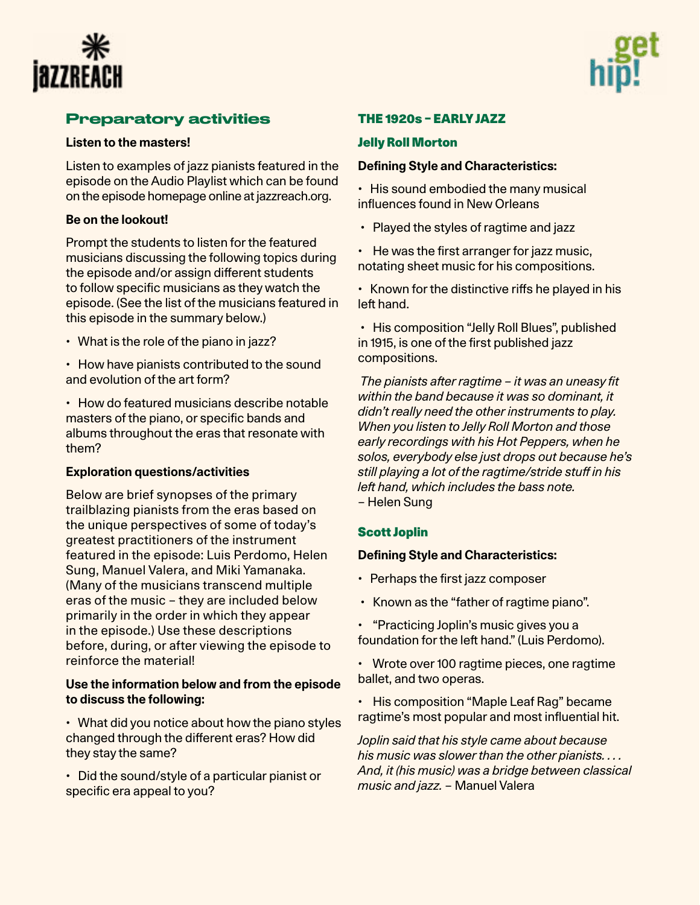



# Preparatory activities

# **Listen to the masters!**

Listen to examples of jazz pianists featured in the episode on the Audio Playlist which can be found on the episode homepage online at jazzreach.org.

# **Be on the lookout!**

Prompt the students to listen for the featured musicians discussing the following topics during the episode and/or assign different students to follow specific musicians as they watch the episode. (See the list of the musicians featured in this episode in the summary below.)

- What is the role of the piano in jazz?
- How have pianists contributed to the sound and evolution of the art form?

• How do featured musicians describe notable masters of the piano, or specific bands and albums throughout the eras that resonate with them?

# **Exploration questions/activities**

Below are brief synopses of the primary trailblazing pianists from the eras based on the unique perspectives of some of today's greatest practitioners of the instrument featured in the episode: Luis Perdomo, Helen Sung, Manuel Valera, and Miki Yamanaka. (Many of the musicians transcend multiple eras of the music – they are included below primarily in the order in which they appear in the episode.) Use these descriptions before, during, or after viewing the episode to reinforce the material!

# **Use the information below and from the episode to discuss the following:**

• What did you notice about how the piano styles changed through the different eras? How did they stay the same?

• Did the sound/style of a particular pianist or specific era appeal to you?

# THE 1920s – EARLY JAZZ

#### [Jelly Roll Morton](https://en.wikipedia.org/wiki/Jelly_Roll_Morton)

# **Defining Style and Characteristics:**

• His sound embodied the many musical influences found in New Orleans

- Played the styles of ragtime and jazz
- He was the first arranger for jazz music, notating sheet music for his compositions.

• Known for the distinctive riffs he played in his left hand.

 • His composition "Jelly Roll Blues", published in 1915, is one of the first published jazz compositions.

*The pianists after ragtime – it was an uneasy fit within the band because it was so dominant, it didn't really need the other instruments to play. When you listen to Jelly Roll Morton and those early recordings with his Hot Peppers, when he solos, everybody else just drops out because he's still playing a lot of the ragtime/stride stuff in his left hand, which includes the bass note.* – Helen Sung

# [Scott Joplin](https://en.wikipedia.org/wiki/Scott_Joplin)

# **Defining Style and Characteristics:**

- Perhaps the first jazz composer
- Known as the "father of ragtime piano".
- "Practicing Joplin's music gives you a foundation for the left hand." (Luis Perdomo).
- Wrote over 100 ragtime pieces, one ragtime ballet, and two operas.
- His composition "Maple Leaf Rag" became ragtime's most popular and most influential hit.

*Joplin said that his style came about because his music was slower than the other pianists. . . . And, it (his music) was a bridge between classical music and jazz.* – Manuel Valera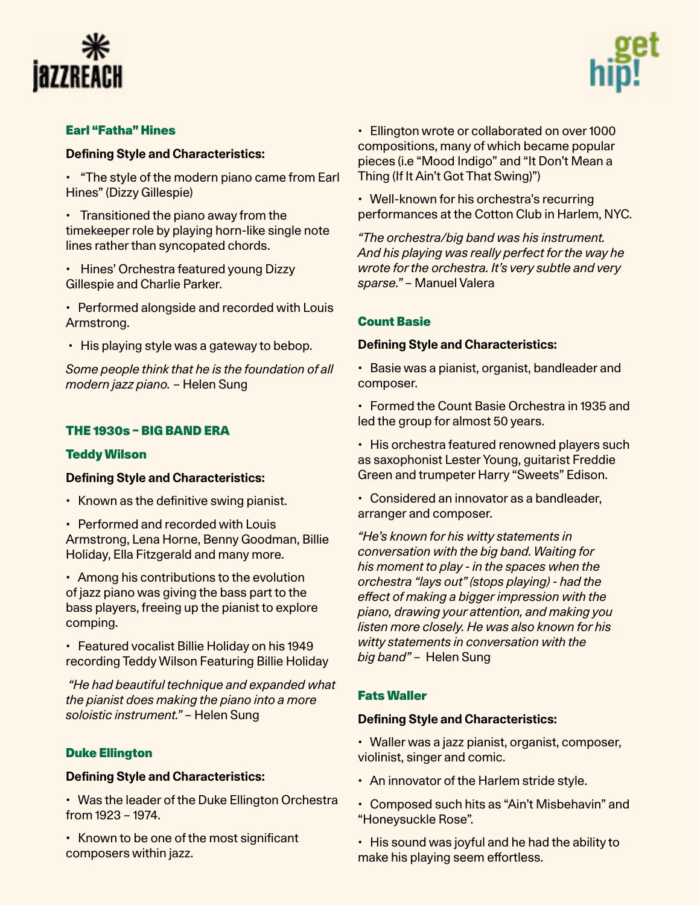



# [Earl "Fatha" Hines](https://en.wikipedia.org/wiki/Earl_Hines)

# **Defining Style and Characteristics:**

• "The style of the modern piano came from Earl Hines" (Dizzy Gillespie)

• Transitioned the piano away from the timekeeper role by playing horn-like single note lines rather than syncopated chords.

• Hines' Orchestra featured young Dizzy Gillespie and Charlie Parker.

• Performed alongside and recorded with Louis Armstrong.

• His playing style was a gateway to bebop.

*Some people think that he is the foundation of all modern jazz piano.* – Helen Sung

# THE 1930s – BIG BAND ERA

# [Teddy Wilson](https://en.wikipedia.org/wiki/Teddy_Wilson)

# **Defining Style and Characteristics:**

- Known as the definitive swing pianist.
- Performed and recorded with Louis

Armstrong, Lena Horne, Benny Goodman, Billie Holiday, Ella Fitzgerald and many more.

• Among his contributions to the evolution of jazz piano was giving the bass part to the bass players, freeing up the pianist to explore comping.

• Featured vocalist Billie Holiday on his 1949 recording Teddy Wilson Featuring Billie Holiday

 *"He had beautiful technique and expanded what the pianist does making the piano into a more soloistic instrument."* – Helen Sung

# [Duke Ellington](https://en.wikipedia.org/wiki/Duke_Ellington)

# **Defining Style and Characteristics:**

• Was the leader of the Duke Ellington Orchestra from 1923 – 1974.

• Known to be one of the most significant composers within jazz.

• Ellington wrote or collaborated on over 1000 compositions, many of which became popular pieces (i.e "Mood Indigo" and "It Don't Mean a Thing (If It Ain't Got That Swing)")

• Well-known for his orchestra's recurring performances at the Cotton Club in Harlem, NYC.

*"The orchestra/big band was his instrument. And his playing was really perfect for the way he wrote for the orchestra. It's very subtle and very sparse."* – Manuel Valera

# [Count Basie](https://en.wikipedia.org/wiki/Count_Basie)

# **Defining Style and Characteristics:**

• Basie was a pianist, organist, bandleader and composer.

• Formed the Count Basie Orchestra in 1935 and led the group for almost 50 years.

• His orchestra featured renowned players such as saxophonist Lester Young, guitarist Freddie Green and trumpeter Harry "Sweets" Edison.

• Considered an innovator as a bandleader, arranger and composer.

*"He's known for his witty statements in conversation with the big band. Waiting for his moment to play - in the spaces when the orchestra "lays out" (stops playing) - had the effect of making a bigger impression with the piano, drawing your attention, and making you listen more closely. He was also known for his witty statements in conversation with the big band"* – Helen Sung

# [Fats Waller](https://en.wikipedia.org/wiki/Fats_Waller)

# **Defining Style and Characteristics:**

• Waller was a jazz pianist, organist, composer, violinist, singer and comic.

- An innovator of the Harlem stride style.
- Composed such hits as "Ain't Misbehavin" and "Honeysuckle Rose".
- His sound was joyful and he had the ability to make his playing seem effortless.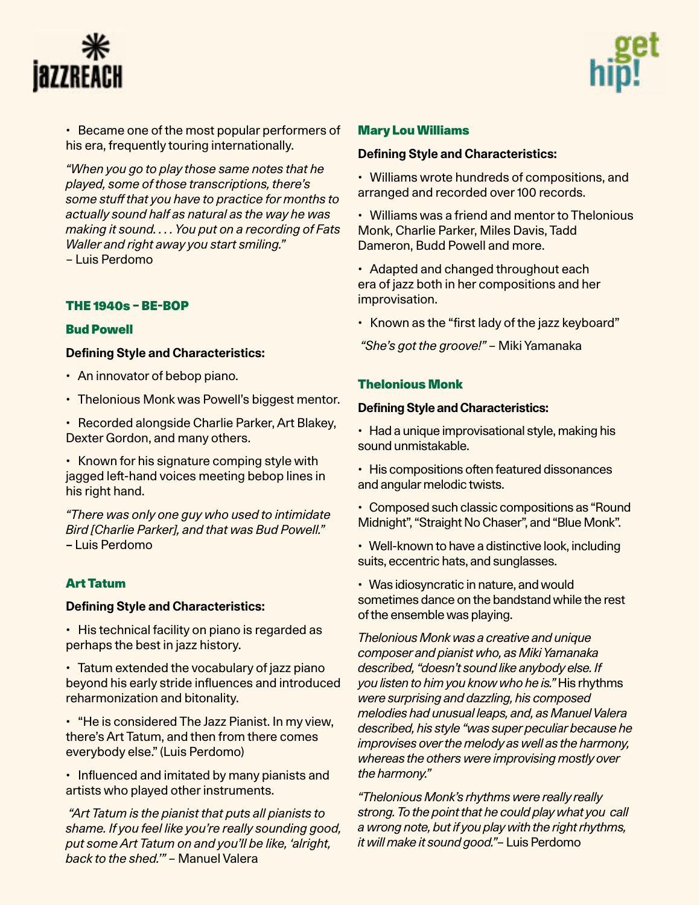



• Became one of the most popular performers of his era, frequently touring internationally.

*"When you go to play those same notes that he played, some of those transcriptions, there's some stuff that you have to practice for months to actually sound half as natural as the way he was making it sound. . . . You put on a recording of Fats Waller and right away you start smiling."*  – Luis Perdomo

# THE 1940s – BE-BOP

# [Bud Powell](https://en.wikipedia.org/wiki/Bud_Powell)

# **Defining Style and Characteristics:**

- An innovator of bebop piano.
- Thelonious Monk was Powell's biggest mentor.
- Recorded alongside Charlie Parker, Art Blakey, Dexter Gordon, and many others.

• Known for his signature comping style with jagged left-hand voices meeting bebop lines in his right hand.

*"There was only one guy who used to intimidate Bird [Charlie Parker], and that was Bud Powell."*  **–** Luis Perdomo

# [Art Tatum](https://en.wikipedia.org/wiki/Art_Tatum)

#### **Defining Style and Characteristics:**

• His technical facility on piano is regarded as perhaps the best in jazz history.

• Tatum extended the vocabulary of jazz piano beyond his early stride influences and introduced reharmonization and bitonality.

• "He is considered The Jazz Pianist. In my view, there's Art Tatum, and then from there comes everybody else." (Luis Perdomo)

• Influenced and imitated by many pianists and artists who played other instruments.

 *"Art Tatum is the pianist that puts all pianists to shame. If you feel like you're really sounding good, put some Art Tatum on and you'll be like, 'alright, back to the shed.'"* – Manuel Valera

# [Mary Lou Williams](https://en.wikipedia.org/wiki/Mary_Lou_Williams)

#### **Defining Style and Characteristics:**

• Williams wrote hundreds of compositions, and arranged and recorded over 100 records.

• Williams was a friend and mentor to Thelonious Monk, Charlie Parker, Miles Davis, Tadd Dameron, Budd Powell and more.

• Adapted and changed throughout each era of jazz both in her compositions and her improvisation.

• Known as the "first lady of the jazz keyboard"

 *"She's got the groove!"* – Miki Yamanaka

#### [Thelonious Monk](https://en.wikipedia.org/wiki/Thelonious_Monk)

#### **Defining Style and Characteristics:**

• Had a unique improvisational style, making his sound unmistakable.

• His compositions often featured dissonances and angular melodic twists.

- Composed such classic compositions as "Round Midnight", "Straight No Chaser", and "Blue Monk".
- Well-known to have a distinctive look, including suits, eccentric hats, and sunglasses.

• Was idiosyncratic in nature, and would sometimes dance on the bandstand while the rest of the ensemble was playing.

*Thelonious Monk was a creative and unique composer and pianist who, as Miki Yamanaka described, "doesn't sound like anybody else. If you listen to him you know who he is."* His rhythms *were surprising and dazzling, his composed melodies had unusual leaps, and, as Manuel Valera described, his style "was super peculiar because he improvises over the melody as well as the harmony, whereas the others were improvising mostly over the harmony."*

*"Thelonious Monk's rhythms were really really strong. To the point that he could play what you call a wrong note, but if you play with the right rhythms, it will make it sound good."*– Luis Perdomo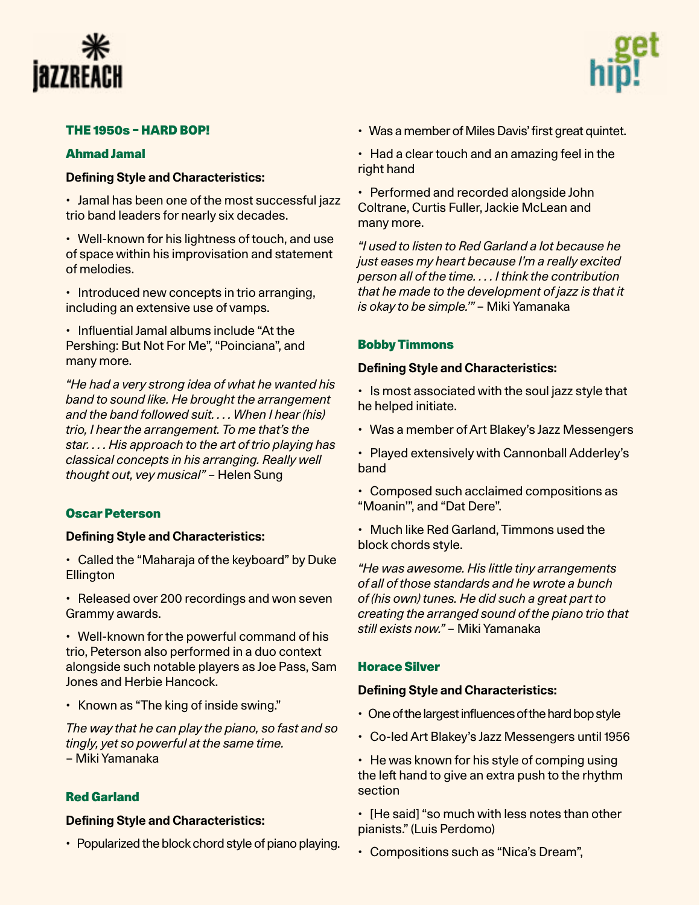



# THE 1950s – HARD BOP!

# [Ahmad Jamal](https://en.wikipedia.org/wiki/Ahmad_Jamal)

# **Defining Style and Characteristics:**

• Jamal has been one of the most successful jazz trio band leaders for nearly six decades.

• Well-known for his lightness of touch, and use of space within his improvisation and statement of melodies.

• Introduced new concepts in trio arranging, including an extensive use of vamps.

• Influential Jamal albums include "At the Pershing: But Not For Me", "Poinciana", and many more.

*"He had a very strong idea of what he wanted his band to sound like. He brought the arrangement and the band followed suit. . . . When I hear (his) trio, I hear the arrangement. To me that's the star. . . . His approach to the art of trio playing has classical concepts in his arranging. Really well thought out, vey musical"* – Helen Sung

# [Oscar Peterson](https://en.wikipedia.org/wiki/Oscar_Peterson)

# **Defining Style and Characteristics:**

• Called the "Maharaja of the keyboard" by Duke **Ellington** 

• Released over 200 recordings and won seven Grammy awards.

• Well-known for the powerful command of his trio, Peterson also performed in a duo context alongside such notable players as Joe Pass, Sam Jones and Herbie Hancock.

• Known as "The king of inside swing."

*The way that he can play the piano, so fast and so tingly, yet so powerful at the same time.*

– Miki Yamanaka

# [Red Garland](https://en.wikipedia.org/wiki/Red_Garland)

# **Defining Style and Characteristics:**

• Popularized the block chord style of piano playing.

• Was a member of Miles Davis' first great quintet.

• Had a clear touch and an amazing feel in the right hand

• Performed and recorded alongside John Coltrane, Curtis Fuller, Jackie McLean and many more.

*"I used to listen to Red Garland a lot because he just eases my heart because I'm a really excited person all of the time. . . . I think the contribution that he made to the development of jazz is that it is okay to be simple.'"* – Miki Yamanaka

# [Bobby Timmons](https://en.wikipedia.org/wiki/Bobby_Timmons)

#### **Defining Style and Characteristics:**

• Is most associated with the soul jazz style that he helped initiate.

• Was a member of Art Blakey's Jazz Messengers

• Played extensively with Cannonball Adderley's band

• Composed such acclaimed compositions as "Moanin'", and "Dat Dere".

• Much like Red Garland, Timmons used the block chords style.

*"He was awesome. His little tiny arrangements of all of those standards and he wrote a bunch of (his own) tunes. He did such a great part to creating the arranged sound of the piano trio that still exists now."* – Miki Yamanaka

# [Horace Silver](https://en.wikipedia.org/wiki/Horace_Silver)

# **Defining Style and Characteristics:**

- One of the largest influences of the hard bop style
- Co-led Art Blakey's Jazz Messengers until 1956

• He was known for his style of comping using the left hand to give an extra push to the rhythm section

• [He said] "so much with less notes than other pianists." (Luis Perdomo)

• Compositions such as "Nica's Dream",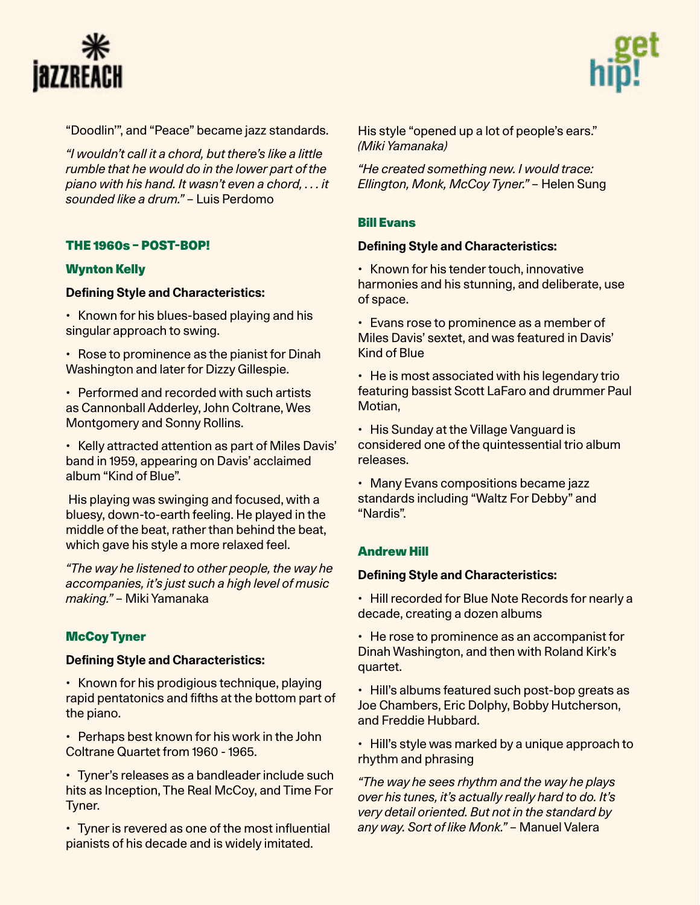



"Doodlin'", and "Peace" became jazz standards.

*"I wouldn't call it a chord, but there's like a little rumble that he would do in the lower part of the piano with his hand. It wasn't even a chord, . . . it sounded like a drum."* – Luis Perdomo

# THE 1960s – POST-BOP!

# [Wynton Kelly](https://en.wikipedia.org/wiki/Wynton_Kelly)

# **Defining Style and Characteristics:**

• Known for his blues-based playing and his singular approach to swing.

• Rose to prominence as the pianist for Dinah Washington and later for Dizzy Gillespie.

• Performed and recorded with such artists as Cannonball Adderley, John Coltrane, Wes Montgomery and Sonny Rollins.

• Kelly attracted attention as part of Miles Davis' band in 1959, appearing on Davis' acclaimed album "Kind of Blue".

 His playing was swinging and focused, with a bluesy, down-to-earth feeling. He played in the middle of the beat, rather than behind the beat, which gave his style a more relaxed feel.

*"The way he listened to other people, the way he accompanies, it's just such a high level of music making."* – Miki Yamanaka

# **[McCoy Tyner](https://en.wikipedia.org/wiki/McCoy_Tyner)**

#### **Defining Style and Characteristics:**

• Known for his prodigious technique, playing rapid pentatonics and fifths at the bottom part of the piano.

• Perhaps best known for his work in the John Coltrane Quartet from 1960 - 1965.

• Tyner's releases as a bandleader include such hits as Inception, The Real McCoy, and Time For Tyner.

• Tyner is revered as one of the most influential pianists of his decade and is widely imitated.

His style "opened up a lot of people's ears." *(Miki Yamanaka)*

*"He created something new. I would trace: Ellington, Monk, McCoy Tyner."* – Helen Sung

# [Bill Evans](https://en.wikipedia.org/wiki/Bill_Evans)

#### **Defining Style and Characteristics:**

• Known for his tender touch, innovative harmonies and his stunning, and deliberate, use of space.

• Evans rose to prominence as a member of Miles Davis' sextet, and was featured in Davis' Kind of Blue

• He is most associated with his legendary trio featuring bassist Scott LaFaro and drummer Paul Motian,

• His Sunday at the Village Vanguard is considered one of the quintessential trio album releases.

• Many Evans compositions became jazz standards including "Waltz For Debby" and "Nardis".

# [Andrew Hill](https://en.wikipedia.org/wiki/Andrew_Hill_(jazz_musician))

#### **Defining Style and Characteristics:**

• Hill recorded for Blue Note Records for nearly a decade, creating a dozen albums

• He rose to prominence as an accompanist for Dinah Washington, and then with Roland Kirk's quartet.

• Hill's albums featured such post-bop greats as Joe Chambers, Eric Dolphy, Bobby Hutcherson, and Freddie Hubbard.

• Hill's style was marked by a unique approach to rhythm and phrasing

*"The way he sees rhythm and the way he plays over his tunes, it's actually really hard to do. It's very detail oriented. But not in the standard by any way. Sort of like Monk."* – Manuel Valera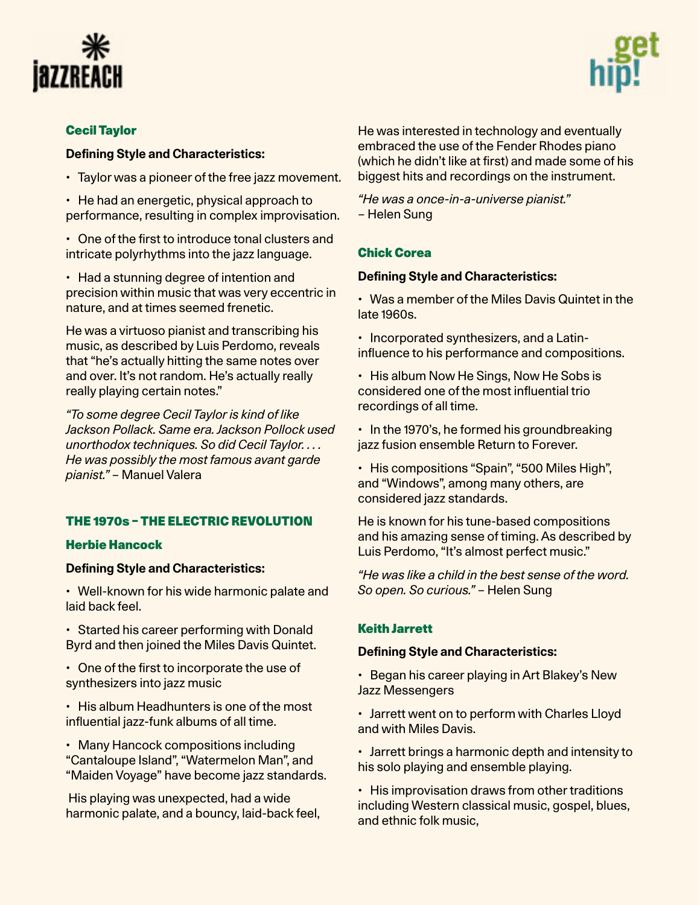



# [Cecil Taylor](https://en.wikipedia.org/wiki/Cecil_Taylor)

# **Defining Style and Characteristics:**

- Taylor was a pioneer of the free jazz movement.
- He had an energetic, physical approach to performance, resulting in complex improvisation.
- One of the first to introduce tonal clusters and intricate polyrhythms into the jazz language.
- Had a stunning degree of intention and precision within music that was very eccentric in nature, and at times seemed frenetic.
- He was a virtuoso pianist and transcribing his music, as described by Luis Perdomo, reveals that "he's actually hitting the same notes over and over. It's not random. He's actually really really playing certain notes."
- *"To some degree Cecil Taylor is kind of like Jackson Pollack. Same era. Jackson Pollock used unorthodox techniques. So did Cecil Taylor. . . . He was possibly the most famous avant garde pianist."* – Manuel Valera

# THE 1970s – THE ELECTRIC REVOLUTION

# [Herbie Hancock](https://en.wikipedia.org/wiki/Herbie_Hancock)

# **Defining Style and Characteristics:**

- Well-known for his wide harmonic palate and laid back feel.
- Started his career performing with Donald Byrd and then joined the Miles Davis Quintet.
- One of the first to incorporate the use of synthesizers into jazz music
- His album Headhunters is one of the most influential jazz-funk albums of all time.
- Many Hancock compositions including "Cantaloupe Island", "Watermelon Man", and "Maiden Voyage" have become jazz standards.
- His playing was unexpected, had a wide harmonic palate, and a bouncy, laid-back feel,

He was interested in technology and eventually embraced the use of the Fender Rhodes piano (which he didn't like at first) and made some of his biggest hits and recordings on the instrument.

*"He was a once-in-a-universe pianist."*  – Helen Sung

# [Chick Corea](https://en.wikipedia.org/wiki/Chick_Corea)

# **Defining Style and Characteristics:**

- Was a member of the Miles Davis Quintet in the late 1960s.
- Incorporated synthesizers, and a Latininfluence to his performance and compositions.
- His album Now He Sings, Now He Sobs is considered one of the most influential trio recordings of all time.
- In the 1970's, he formed his groundbreaking jazz fusion ensemble Return to Forever.
- His compositions "Spain", "500 Miles High", and "Windows", among many others, are considered jazz standards.
- He is known for his tune-based compositions and his amazing sense of timing. As described by Luis Perdomo, "It's almost perfect music."
- *"He was like a child in the best sense of the word. So open. So curious."* – Helen Sung

# [Keith Jarrett](https://en.wikipedia.org/wiki/Keith_Jarrett)

# **Defining Style and Characteristics:**

- Began his career playing in Art Blakey's New Jazz Messengers
- Jarrett went on to perform with Charles Lloyd and with Miles Davis.
- Jarrett brings a harmonic depth and intensity to his solo playing and ensemble playing.
- His improvisation draws from other traditions including Western classical music, gospel, blues, and ethnic folk music,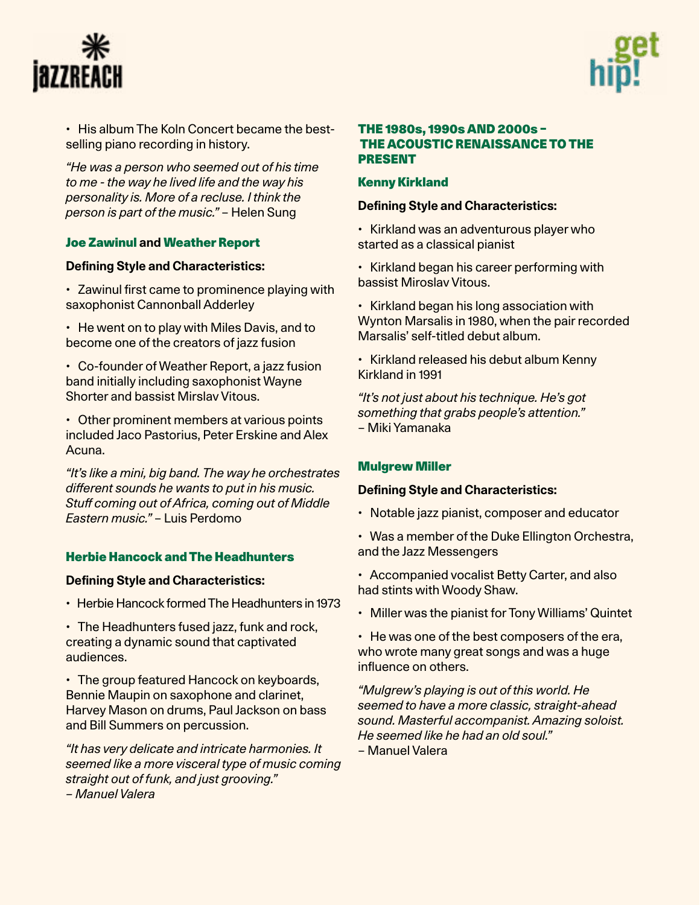



• His album The Koln Concert became the bestselling piano recording in history.

*"He was a person who seemed out of his time to me - the way he lived life and the way his personality is. More of a recluse. I think the person is part of the music."* – Helen Sung

# [Joe Zawinul](https://en.wikipedia.org/wiki/Joe_Zawinul) **and** [Weather Report](https://en.wikipedia.org/wiki/Weather_Report)

# **Defining Style and Characteristics:**

• Zawinul first came to prominence playing with saxophonist Cannonball Adderley

• He went on to play with Miles Davis, and to become one of the creators of jazz fusion

• Co-founder of Weather Report, a jazz fusion band initially including saxophonist Wayne Shorter and bassist Mirslav Vitous.

• Other prominent members at various points included Jaco Pastorius, Peter Erskine and Alex Acuna.

*"It's like a mini, big band. The way he orchestrates different sounds he wants to put in his music. Stuff coming out of Africa, coming out of Middle Eastern music."* – Luis Perdomo

# [Herbie Hancock and The Headhunters](https://en.wikipedia.org/wiki/The_Headhunters)

#### **Defining Style and Characteristics:**

- Herbie Hancock formed The Headhunters in 1973
- The Headhunters fused jazz, funk and rock, creating a dynamic sound that captivated audiences.

• The group featured Hancock on keyboards, Bennie Maupin on saxophone and clarinet, Harvey Mason on drums, Paul Jackson on bass and Bill Summers on percussion.

*"It has very delicate and intricate harmonies. It seemed like a more visceral type of music coming straight out of funk, and just grooving." – Manuel Valera*

# THE 1980s, 1990s AND 2000s – THE ACOUSTIC RENAISSANCE TO THE PRESENT

#### [Kenny Kirkland](https://en.wikipedia.org/wiki/Kenny_Kirkland)

#### **Defining Style and Characteristics:**

• Kirkland was an adventurous player who started as a classical pianist

• Kirkland began his career performing with bassist Miroslav Vitous.

• Kirkland began his long association with Wynton Marsalis in 1980, when the pair recorded Marsalis' self-titled debut album.

• Kirkland released his debut album Kenny Kirkland in 1991

*"It's not just about his technique. He's got something that grabs people's attention."* – Miki Yamanaka

#### [Mulgrew Miller](https://en.wikipedia.org/wiki/Mulgrew_Miller)

#### **Defining Style and Characteristics:**

- Notable jazz pianist, composer and educator
- Was a member of the Duke Ellington Orchestra, and the Jazz Messengers
- Accompanied vocalist Betty Carter, and also had stints with Woody Shaw.
- Miller was the pianist for Tony Williams' Quintet
- He was one of the best composers of the era, who wrote many great songs and was a huge influence on others.

*"Mulgrew's playing is out of this world. He seemed to have a more classic, straight-ahead sound. Masterful accompanist. Amazing soloist. He seemed like he had an old soul."* – Manuel Valera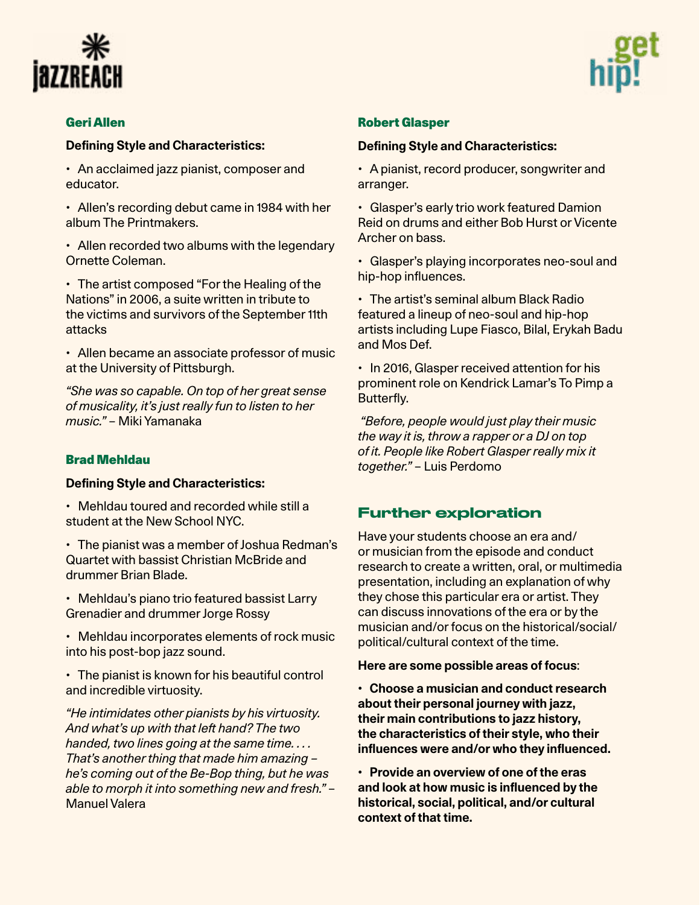



# [Geri Allen](https://en.wikipedia.org/wiki/Geri_Allen)

# **Defining Style and Characteristics:**

• An acclaimed jazz pianist, composer and educator.

• Allen's recording debut came in 1984 with her album The Printmakers.

• Allen recorded two albums with the legendary Ornette Coleman.

• The artist composed "For the Healing of the Nations" in 2006, a suite written in tribute to the victims and survivors of the September 11th attacks

• Allen became an associate professor of music at the University of Pittsburgh.

*"She was so capable. On top of her great sense of musicality, it's just really fun to listen to her music."* – Miki Yamanaka

#### [Brad Mehldau](https://en.wikipedia.org/wiki/Brad_Mehldau)

# **Defining Style and Characteristics:**

• Mehldau toured and recorded while still a student at the New School NYC.

• The pianist was a member of Joshua Redman's Quartet with bassist Christian McBride and drummer Brian Blade.

• Mehldau's piano trio featured bassist Larry Grenadier and drummer Jorge Rossy

• Mehldau incorporates elements of rock music into his post-bop jazz sound.

• The pianist is known for his beautiful control and incredible virtuosity.

*"He intimidates other pianists by his virtuosity. And what's up with that left hand? The two handed, two lines going at the same time. . . . That's another thing that made him amazing – he's coming out of the Be-Bop thing, but he was able to morph it into something new and fresh."* – Manuel Valera

#### [Robert Glasper](https://en.wikipedia.org/wiki/Robert_Glasper)

#### **Defining Style and Characteristics:**

• A pianist, record producer, songwriter and arranger.

• Glasper's early trio work featured Damion Reid on drums and either Bob Hurst or Vicente Archer on bass.

• Glasper's playing incorporates neo-soul and hip-hop influences.

• The artist's seminal album Black Radio featured a lineup of neo-soul and hip-hop artists including Lupe Fiasco, Bilal, Erykah Badu and Mos Def.

• In 2016, Glasper received attention for his prominent role on Kendrick Lamar's To Pimp a Butterfly.

 *"Before, people would just play their music the way it is, throw a rapper or a DJ on top of it. People like Robert Glasper really mix it together."* – Luis Perdomo

# Further exploration

Have your students choose an era and/ or musician from the episode and conduct research to create a written, oral, or multimedia presentation, including an explanation of why they chose this particular era or artist. They can discuss innovations of the era or by the musician and/or focus on the historical/social/ political/cultural context of the time.

#### **Here are some possible areas of focus**:

**• Choose a musician and conduct research about their personal journey with jazz, their main contributions to jazz history, the characteristics of their style, who their influences were and/or who they influenced.**

**• Provide an overview of one of the eras and look at how music is influenced by the historical, social, political, and/or cultural context of that time.**